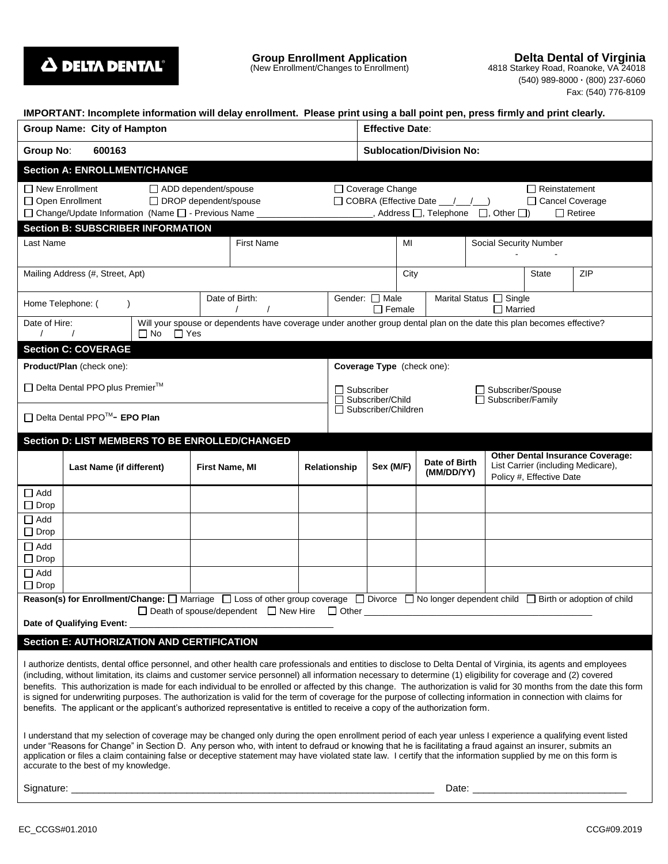

**Delta Dental of Virginia** 4818 Starkey Road, Roanoke, VA 24018

| 0 OtalNCy TWay, Hoarlond, VA 24010 |                     |
|------------------------------------|---------------------|
| (540) 989-8000 - (800) 237-6060    |                     |
|                                    | Fax: (540) 776-8109 |

| IMPORTANT: Incomplete information will delay enrollment. Please print using a ball point pen, press firmly and print clearly.                                                                                                                                                                                                                                                                                                                                                                                                                                                                                                                                                                                                                                                                                    |                                                   |                         |                |                                                                                                                       |                           |                                                                                       |                                   |                                                         |  |                               |  |                                                                               |     |  |
|------------------------------------------------------------------------------------------------------------------------------------------------------------------------------------------------------------------------------------------------------------------------------------------------------------------------------------------------------------------------------------------------------------------------------------------------------------------------------------------------------------------------------------------------------------------------------------------------------------------------------------------------------------------------------------------------------------------------------------------------------------------------------------------------------------------|---------------------------------------------------|-------------------------|----------------|-----------------------------------------------------------------------------------------------------------------------|---------------------------|---------------------------------------------------------------------------------------|-----------------------------------|---------------------------------------------------------|--|-------------------------------|--|-------------------------------------------------------------------------------|-----|--|
| Group Name: City of Hampton                                                                                                                                                                                                                                                                                                                                                                                                                                                                                                                                                                                                                                                                                                                                                                                      |                                                   |                         |                |                                                                                                                       |                           |                                                                                       | <b>Effective Date:</b>            |                                                         |  |                               |  |                                                                               |     |  |
| 600163<br><b>Group No:</b>                                                                                                                                                                                                                                                                                                                                                                                                                                                                                                                                                                                                                                                                                                                                                                                       |                                                   |                         |                |                                                                                                                       |                           |                                                                                       | <b>Sublocation/Division No:</b>   |                                                         |  |                               |  |                                                                               |     |  |
| <b>Section A: ENROLLMENT/CHANGE</b>                                                                                                                                                                                                                                                                                                                                                                                                                                                                                                                                                                                                                                                                                                                                                                              |                                                   |                         |                |                                                                                                                       |                           |                                                                                       |                                   |                                                         |  |                               |  |                                                                               |     |  |
| $\Box$ New Enrollment<br>ADD dependent/spouse<br>$\Box$ Coverage Change<br>$\Box$ Reinstatement<br>□ DROP dependent/spouse<br>□ COBRA (Effective Date __/_/_)<br>□ Open Enrollment<br>□ Cancel Coverage<br>□ Change/Update Information (Name □ - Previous Name _<br>, Address $\Box$ , Telephone $\Box$ , Other $\Box$ )<br>$\Box$ Retiree                                                                                                                                                                                                                                                                                                                                                                                                                                                                       |                                                   |                         |                |                                                                                                                       |                           |                                                                                       |                                   |                                                         |  |                               |  |                                                                               |     |  |
|                                                                                                                                                                                                                                                                                                                                                                                                                                                                                                                                                                                                                                                                                                                                                                                                                  | <b>Section B: SUBSCRIBER INFORMATION</b>          |                         |                |                                                                                                                       |                           |                                                                                       |                                   |                                                         |  |                               |  |                                                                               |     |  |
| Last Name                                                                                                                                                                                                                                                                                                                                                                                                                                                                                                                                                                                                                                                                                                                                                                                                        |                                                   | <b>First Name</b>       |                |                                                                                                                       |                           |                                                                                       | MI                                |                                                         |  | <b>Social Security Number</b> |  |                                                                               |     |  |
| Mailing Address (#, Street, Apt)                                                                                                                                                                                                                                                                                                                                                                                                                                                                                                                                                                                                                                                                                                                                                                                 |                                                   |                         |                |                                                                                                                       |                           |                                                                                       | City                              |                                                         |  |                               |  | State                                                                         | ZIP |  |
| Home Telephone: (                                                                                                                                                                                                                                                                                                                                                                                                                                                                                                                                                                                                                                                                                                                                                                                                |                                                   |                         |                | Date of Birth:<br>$\prime$                                                                                            |                           |                                                                                       | Gender: □ Male<br>$\Box$ Female   |                                                         |  | Marital Status [ Single       |  | $\Box$ Married                                                                |     |  |
| Date of Hire:<br>$\prime$                                                                                                                                                                                                                                                                                                                                                                                                                                                                                                                                                                                                                                                                                                                                                                                        |                                                   | $\Box$ Yes<br>$\Box$ No |                | Will your spouse or dependents have coverage under another group dental plan on the date this plan becomes effective? |                           |                                                                                       |                                   |                                                         |  |                               |  |                                                                               |     |  |
|                                                                                                                                                                                                                                                                                                                                                                                                                                                                                                                                                                                                                                                                                                                                                                                                                  | <b>Section C: COVERAGE</b>                        |                         |                |                                                                                                                       |                           |                                                                                       |                                   |                                                         |  |                               |  |                                                                               |     |  |
| Product/Plan (check one):                                                                                                                                                                                                                                                                                                                                                                                                                                                                                                                                                                                                                                                                                                                                                                                        |                                                   |                         |                |                                                                                                                       |                           |                                                                                       | <b>Coverage Type</b> (check one): |                                                         |  |                               |  |                                                                               |     |  |
| □ Delta Dental PPO plus Premier <sup>™</sup>                                                                                                                                                                                                                                                                                                                                                                                                                                                                                                                                                                                                                                                                                                                                                                     |                                                   |                         |                |                                                                                                                       |                           | $\sqcap$ Subscriber<br>□ Subscriber/Spouse<br>Subscriber/Child<br>□ Subscriber/Family |                                   |                                                         |  |                               |  |                                                                               |     |  |
|                                                                                                                                                                                                                                                                                                                                                                                                                                                                                                                                                                                                                                                                                                                                                                                                                  | □ Delta Dental PPO <sup>™</sup> - EPO Plan        |                         |                |                                                                                                                       |                           |                                                                                       | Subscriber/Children               |                                                         |  |                               |  |                                                                               |     |  |
|                                                                                                                                                                                                                                                                                                                                                                                                                                                                                                                                                                                                                                                                                                                                                                                                                  | Section D: LIST MEMBERS TO BE ENROLLED/CHANGED    |                         |                |                                                                                                                       |                           |                                                                                       |                                   |                                                         |  |                               |  |                                                                               |     |  |
|                                                                                                                                                                                                                                                                                                                                                                                                                                                                                                                                                                                                                                                                                                                                                                                                                  | Last Name (if different)                          |                         | First Name, MI |                                                                                                                       | Sex (M/F)<br>Relationship |                                                                                       |                                   | Date of Birth<br>(MM/DD/YY)<br>Policy #, Effective Date |  |                               |  | <b>Other Dental Insurance Coverage:</b><br>List Carrier (including Medicare), |     |  |
| $\Box$ Add<br>$\Box$ Drop                                                                                                                                                                                                                                                                                                                                                                                                                                                                                                                                                                                                                                                                                                                                                                                        |                                                   |                         |                |                                                                                                                       |                           |                                                                                       |                                   |                                                         |  |                               |  |                                                                               |     |  |
| $\Box$ Add<br>$\Box$ Drop                                                                                                                                                                                                                                                                                                                                                                                                                                                                                                                                                                                                                                                                                                                                                                                        |                                                   |                         |                |                                                                                                                       |                           |                                                                                       |                                   |                                                         |  |                               |  |                                                                               |     |  |
| $\Box$ Add<br>$\Box$ Drop                                                                                                                                                                                                                                                                                                                                                                                                                                                                                                                                                                                                                                                                                                                                                                                        |                                                   |                         |                |                                                                                                                       |                           |                                                                                       |                                   |                                                         |  |                               |  |                                                                               |     |  |
| $\Box$ Add<br>$\Box$ Drop                                                                                                                                                                                                                                                                                                                                                                                                                                                                                                                                                                                                                                                                                                                                                                                        |                                                   |                         |                |                                                                                                                       |                           |                                                                                       |                                   |                                                         |  |                               |  |                                                                               |     |  |
| Reason(s) for Enrollment/Change: $\Box$ Marriage $\Box$ Loss of other group coverage $\Box$ Divorce $\Box$ No longer dependent child $\Box$ Birth or adoption of child<br>□ Death of spouse/dependent □ New Hire □ Other □                                                                                                                                                                                                                                                                                                                                                                                                                                                                                                                                                                                       |                                                   |                         |                |                                                                                                                       |                           |                                                                                       |                                   |                                                         |  |                               |  |                                                                               |     |  |
| Date of Qualifying Event: 2008 2014 2015 2022 2023 2024 2022 2023 2024 2022 2023 2024 2022 2023 2024 2022 2023                                                                                                                                                                                                                                                                                                                                                                                                                                                                                                                                                                                                                                                                                                   |                                                   |                         |                |                                                                                                                       |                           |                                                                                       |                                   |                                                         |  |                               |  |                                                                               |     |  |
|                                                                                                                                                                                                                                                                                                                                                                                                                                                                                                                                                                                                                                                                                                                                                                                                                  | <b>Section E: AUTHORIZATION AND CERTIFICATION</b> |                         |                |                                                                                                                       |                           |                                                                                       |                                   |                                                         |  |                               |  |                                                                               |     |  |
| I authorize dentists, dental office personnel, and other health care professionals and entities to disclose to Delta Dental of Virginia, its agents and employees<br>(including, without limitation, its claims and customer service personnel) all information necessary to determine (1) eligibility for coverage and (2) covered<br>benefits. This authorization is made for each individual to be enrolled or affected by this change. The authorization is valid for 30 months from the date this form<br>is signed for underwriting purposes. The authorization is valid for the term of coverage for the purpose of collecting information in connection with claims for<br>benefits. The applicant or the applicant's authorized representative is entitled to receive a copy of the authorization form. |                                                   |                         |                |                                                                                                                       |                           |                                                                                       |                                   |                                                         |  |                               |  |                                                                               |     |  |
| I understand that my selection of coverage may be changed only during the open enrollment period of each year unless I experience a qualifying event listed<br>under "Reasons for Change" in Section D. Any person who, with intent to defraud or knowing that he is facilitating a fraud against an insurer, submits an<br>application or files a claim containing false or deceptive statement may have violated state law. I certify that the information supplied by me on this form is<br>accurate to the best of my knowledge.                                                                                                                                                                                                                                                                             |                                                   |                         |                |                                                                                                                       |                           |                                                                                       |                                   |                                                         |  |                               |  |                                                                               |     |  |
|                                                                                                                                                                                                                                                                                                                                                                                                                                                                                                                                                                                                                                                                                                                                                                                                                  |                                                   |                         |                |                                                                                                                       |                           |                                                                                       |                                   |                                                         |  |                               |  |                                                                               |     |  |
|                                                                                                                                                                                                                                                                                                                                                                                                                                                                                                                                                                                                                                                                                                                                                                                                                  |                                                   |                         |                |                                                                                                                       |                           |                                                                                       |                                   |                                                         |  |                               |  |                                                                               |     |  |